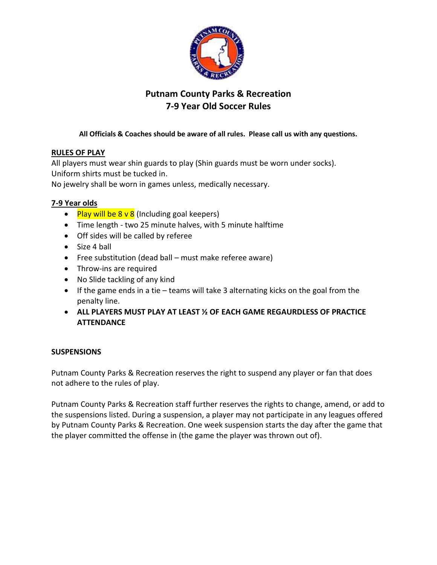

# **Putnam County Parks & Recreation 7-9 Year Old Soccer Rules**

### **All Officials & Coaches should be aware of all rules. Please call us with any questions.**

## **RULES OF PLAY**

All players must wear shin guards to play (Shin guards must be worn under socks). Uniform shirts must be tucked in.

No jewelry shall be worn in games unless, medically necessary.

#### **7-9 Year olds**

- Play will be  $8 \vee 8$  (Including goal keepers)
- Time length two 25 minute halves, with 5 minute halftime
- Off sides will be called by referee
- Size 4 ball
- Free substitution (dead ball must make referee aware)
- Throw-ins are required
- No Slide tackling of any kind
- $\bullet$  If the game ends in a tie teams will take 3 alternating kicks on the goal from the penalty line.
- **ALL PLAYERS MUST PLAY AT LEAST ½ OF EACH GAME REGAURDLESS OF PRACTICE ATTENDANCE**

#### **SUSPENSIONS**

Putnam County Parks & Recreation reserves the right to suspend any player or fan that does not adhere to the rules of play.

Putnam County Parks & Recreation staff further reserves the rights to change, amend, or add to the suspensions listed. During a suspension, a player may not participate in any leagues offered by Putnam County Parks & Recreation. One week suspension starts the day after the game that the player committed the offense in (the game the player was thrown out of).